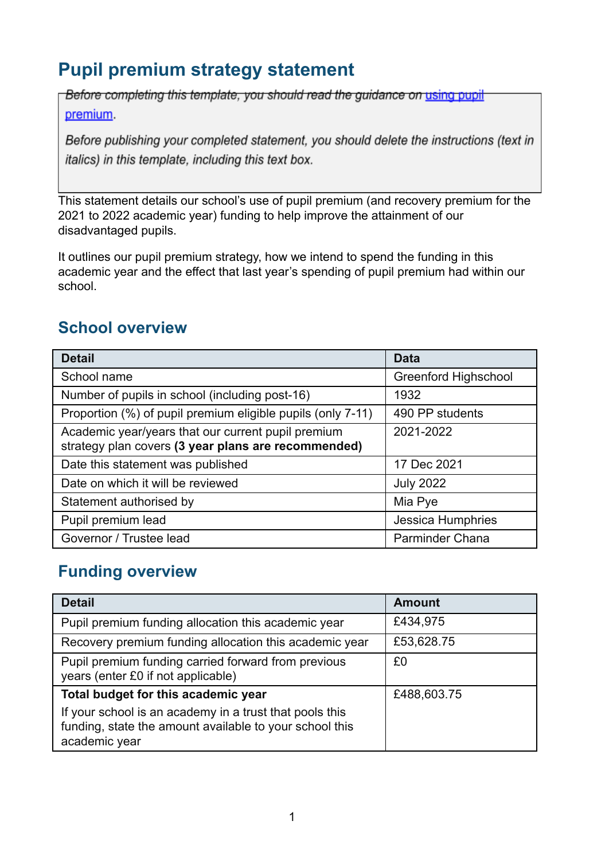# **Pupil premium strategy statement**

Before completing this template, you should read the guidance on using pupil premium.

Before publishing your completed statement, you should delete the instructions (text in italics) in this template, including this text box.

This statement details our school's use of pupil premium (and recovery premium for the 2021 to 2022 academic year) funding to help improve the attainment of our disadvantaged pupils.

It outlines our pupil premium strategy, how we intend to spend the funding in this academic year and the effect that last year's spending of pupil premium had within our school.

## **School overview**

| <b>Detail</b>                                                                                             | <b>Data</b>                 |
|-----------------------------------------------------------------------------------------------------------|-----------------------------|
| School name                                                                                               | <b>Greenford Highschool</b> |
| Number of pupils in school (including post-16)                                                            | 1932                        |
| Proportion (%) of pupil premium eligible pupils (only 7-11)                                               | 490 PP students             |
| Academic year/years that our current pupil premium<br>strategy plan covers (3 year plans are recommended) | 2021-2022                   |
| Date this statement was published                                                                         | 17 Dec 2021                 |
| Date on which it will be reviewed                                                                         | <b>July 2022</b>            |
| Statement authorised by                                                                                   | Mia Pye                     |
| Pupil premium lead                                                                                        | Jessica Humphries           |
| Governor / Trustee lead                                                                                   | <b>Parminder Chana</b>      |

## **Funding overview**

| <b>Detail</b>                                                                                                                       | <b>Amount</b> |
|-------------------------------------------------------------------------------------------------------------------------------------|---------------|
| Pupil premium funding allocation this academic year                                                                                 | £434,975      |
| Recovery premium funding allocation this academic year                                                                              | £53,628.75    |
| Pupil premium funding carried forward from previous<br>years (enter £0 if not applicable)                                           | £0            |
| Total budget for this academic year                                                                                                 | £488,603.75   |
| If your school is an academy in a trust that pools this<br>funding, state the amount available to your school this<br>academic year |               |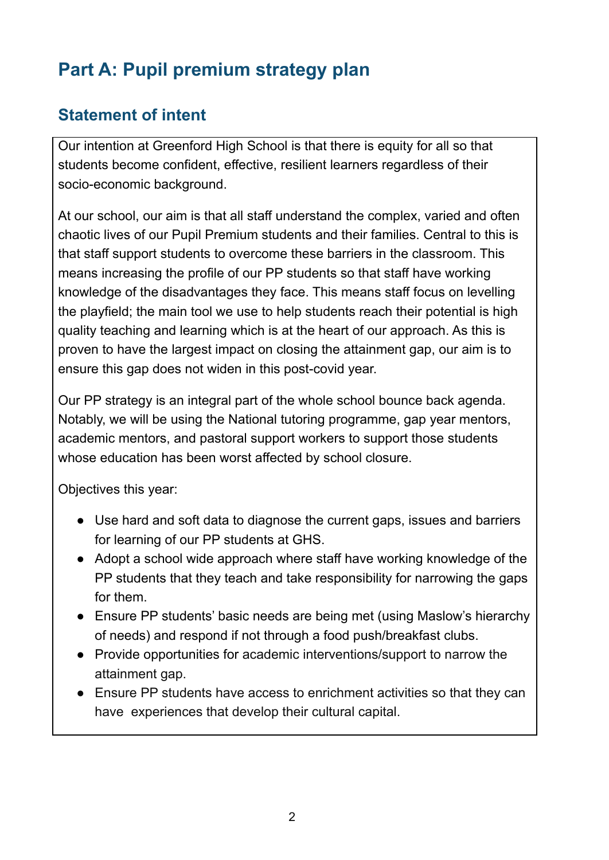# **Part A: Pupil premium strategy plan**

## **Statement of intent**

Our intention at Greenford High School is that there is equity for all so that students become confident, effective, resilient learners regardless of their socio-economic background.

At our school, our aim is that all staff understand the complex, varied and often chaotic lives of our Pupil Premium students and their families. Central to this is that staff support students to overcome these barriers in the classroom. This means increasing the profile of our PP students so that staff have working knowledge of the disadvantages they face. This means staff focus on levelling the playfield; the main tool we use to help students reach their potential is high quality teaching and learning which is at the heart of our approach. As this is proven to have the largest impact on closing the attainment gap, our aim is to ensure this gap does not widen in this post-covid year.

Our PP strategy is an integral part of the whole school bounce back agenda. Notably, we will be using the National tutoring programme, gap year mentors, academic mentors, and pastoral support workers to support those students whose education has been worst affected by school closure.

Objectives this year:

- Use hard and soft data to diagnose the current gaps, issues and barriers for learning of our PP students at GHS.
- Adopt a school wide approach where staff have working knowledge of the PP students that they teach and take responsibility for narrowing the gaps for them.
- Ensure PP students' basic needs are being met (using Maslow's hierarchy of needs) and respond if not through a food push/breakfast clubs.
- Provide opportunities for academic interventions/support to narrow the attainment gap.
- Ensure PP students have access to enrichment activities so that they can have experiences that develop their cultural capital.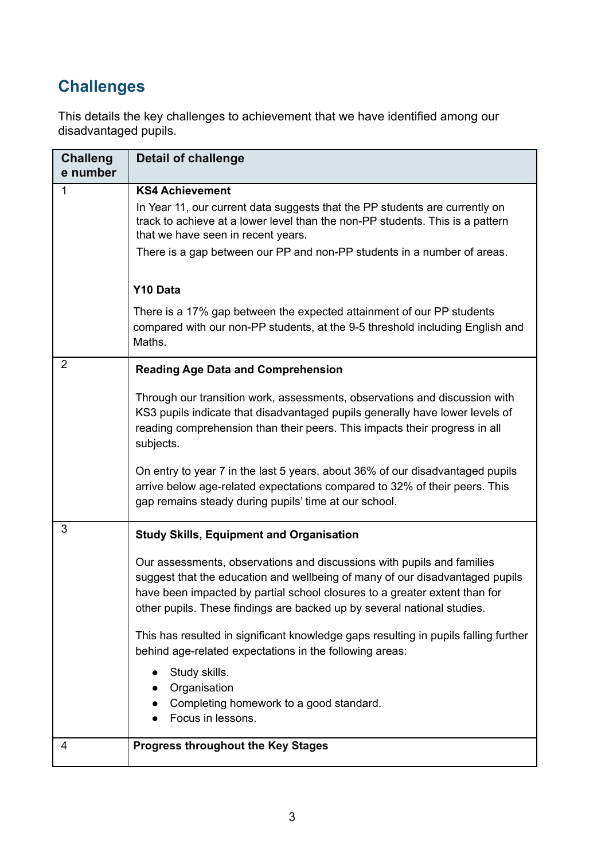# **Challenges**

This details the key challenges to achievement that we have identified among our disadvantaged pupils.

| <b>Challeng</b><br>e number | <b>Detail of challenge</b>                                                                                                                                                                                                                                                                                                                                                                                                                                                                                                                                                                                            |
|-----------------------------|-----------------------------------------------------------------------------------------------------------------------------------------------------------------------------------------------------------------------------------------------------------------------------------------------------------------------------------------------------------------------------------------------------------------------------------------------------------------------------------------------------------------------------------------------------------------------------------------------------------------------|
| $\mathbf{1}$                | <b>KS4 Achievement</b><br>In Year 11, our current data suggests that the PP students are currently on<br>track to achieve at a lower level than the non-PP students. This is a pattern<br>that we have seen in recent years.<br>There is a gap between our PP and non-PP students in a number of areas.                                                                                                                                                                                                                                                                                                               |
|                             | Y10 Data<br>There is a 17% gap between the expected attainment of our PP students<br>compared with our non-PP students, at the 9-5 threshold including English and<br>Maths.                                                                                                                                                                                                                                                                                                                                                                                                                                          |
| $\overline{2}$              | <b>Reading Age Data and Comprehension</b><br>Through our transition work, assessments, observations and discussion with<br>KS3 pupils indicate that disadvantaged pupils generally have lower levels of<br>reading comprehension than their peers. This impacts their progress in all<br>subjects.                                                                                                                                                                                                                                                                                                                    |
|                             | On entry to year 7 in the last 5 years, about 36% of our disadvantaged pupils<br>arrive below age-related expectations compared to 32% of their peers. This<br>gap remains steady during pupils' time at our school.                                                                                                                                                                                                                                                                                                                                                                                                  |
| 3                           | <b>Study Skills, Equipment and Organisation</b><br>Our assessments, observations and discussions with pupils and families<br>suggest that the education and wellbeing of many of our disadvantaged pupils<br>have been impacted by partial school closures to a greater extent than for<br>other pupils. These findings are backed up by several national studies.<br>This has resulted in significant knowledge gaps resulting in pupils falling further<br>behind age-related expectations in the following areas:<br>Study skills.<br>Organisation<br>Completing homework to a good standard.<br>Focus in lessons. |
| 4                           | <b>Progress throughout the Key Stages</b>                                                                                                                                                                                                                                                                                                                                                                                                                                                                                                                                                                             |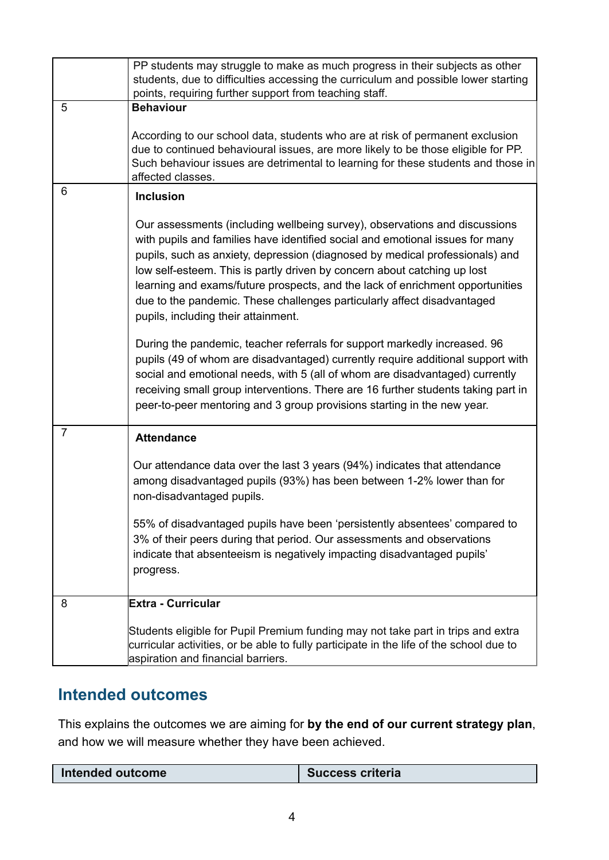|                | PP students may struggle to make as much progress in their subjects as other<br>students, due to difficulties accessing the curriculum and possible lower starting<br>points, requiring further support from teaching staff.                                                                                                                                                                                                                                                                                               |
|----------------|----------------------------------------------------------------------------------------------------------------------------------------------------------------------------------------------------------------------------------------------------------------------------------------------------------------------------------------------------------------------------------------------------------------------------------------------------------------------------------------------------------------------------|
| 5              | <b>Behaviour</b>                                                                                                                                                                                                                                                                                                                                                                                                                                                                                                           |
|                | According to our school data, students who are at risk of permanent exclusion<br>due to continued behavioural issues, are more likely to be those eligible for PP.<br>Such behaviour issues are detrimental to learning for these students and those in<br>affected classes.                                                                                                                                                                                                                                               |
| 6              | <b>Inclusion</b>                                                                                                                                                                                                                                                                                                                                                                                                                                                                                                           |
|                | Our assessments (including wellbeing survey), observations and discussions<br>with pupils and families have identified social and emotional issues for many<br>pupils, such as anxiety, depression (diagnosed by medical professionals) and<br>low self-esteem. This is partly driven by concern about catching up lost<br>learning and exams/future prospects, and the lack of enrichment opportunities<br>due to the pandemic. These challenges particularly affect disadvantaged<br>pupils, including their attainment. |
|                | During the pandemic, teacher referrals for support markedly increased. 96<br>pupils (49 of whom are disadvantaged) currently require additional support with<br>social and emotional needs, with 5 (all of whom are disadvantaged) currently<br>receiving small group interventions. There are 16 further students taking part in<br>peer-to-peer mentoring and 3 group provisions starting in the new year.                                                                                                               |
| $\overline{7}$ | <b>Attendance</b>                                                                                                                                                                                                                                                                                                                                                                                                                                                                                                          |
|                | Our attendance data over the last 3 years (94%) indicates that attendance<br>among disadvantaged pupils (93%) has been between 1-2% lower than for<br>non-disadvantaged pupils.                                                                                                                                                                                                                                                                                                                                            |
|                | 55% of disadvantaged pupils have been 'persistently absentees' compared to<br>3% of their peers during that period. Our assessments and observations<br>indicate that absenteeism is negatively impacting disadvantaged pupils'<br>progress.                                                                                                                                                                                                                                                                               |
| 8              | <b>Extra - Curricular</b>                                                                                                                                                                                                                                                                                                                                                                                                                                                                                                  |
|                | Students eligible for Pupil Premium funding may not take part in trips and extra<br>curricular activities, or be able to fully participate in the life of the school due to<br>aspiration and financial barriers.                                                                                                                                                                                                                                                                                                          |

# **Intended outcomes**

This explains the outcomes we are aiming for **by the end of our current strategy plan**, and how we will measure whether they have been achieved.

|  | <b>Intended outcome</b> | <b>Success criteria</b> |
|--|-------------------------|-------------------------|
|--|-------------------------|-------------------------|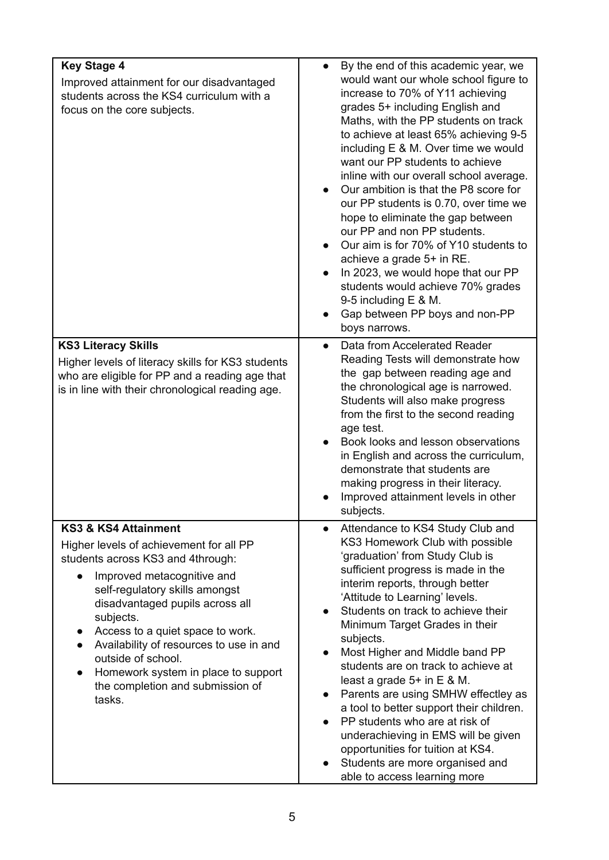| <b>Key Stage 4</b>                                                                                                                                                                                                                                                                                                                                                                                                        | By the end of this academic year, we<br>$\bullet$                                                                                                                                                                                                                                                                                                                                                                                                                                                                                                                                                                                                                                                                   |
|---------------------------------------------------------------------------------------------------------------------------------------------------------------------------------------------------------------------------------------------------------------------------------------------------------------------------------------------------------------------------------------------------------------------------|---------------------------------------------------------------------------------------------------------------------------------------------------------------------------------------------------------------------------------------------------------------------------------------------------------------------------------------------------------------------------------------------------------------------------------------------------------------------------------------------------------------------------------------------------------------------------------------------------------------------------------------------------------------------------------------------------------------------|
| Improved attainment for our disadvantaged<br>students across the KS4 curriculum with a<br>focus on the core subjects.                                                                                                                                                                                                                                                                                                     | would want our whole school figure to<br>increase to 70% of Y11 achieving<br>grades 5+ including English and<br>Maths, with the PP students on track<br>to achieve at least 65% achieving 9-5<br>including E & M. Over time we would<br>want our PP students to achieve<br>inline with our overall school average.<br>Our ambition is that the P8 score for<br>our PP students is 0.70, over time we<br>hope to eliminate the gap between<br>our PP and non PP students.<br>Our aim is for 70% of Y10 students to<br>achieve a grade 5+ in RE.<br>In 2023, we would hope that our PP<br>$\bullet$<br>students would achieve 70% grades<br>9-5 including $E$ & M.<br>Gap between PP boys and non-PP<br>boys narrows. |
| <b>KS3 Literacy Skills</b><br>Higher levels of literacy skills for KS3 students<br>who are eligible for PP and a reading age that<br>is in line with their chronological reading age.                                                                                                                                                                                                                                     | Data from Accelerated Reader<br>$\bullet$<br>Reading Tests will demonstrate how<br>the gap between reading age and<br>the chronological age is narrowed.<br>Students will also make progress<br>from the first to the second reading<br>age test.<br>Book looks and lesson observations<br>in English and across the curriculum,<br>demonstrate that students are<br>making progress in their literacy.<br>Improved attainment levels in other<br>subjects.                                                                                                                                                                                                                                                         |
| <b>KS3 &amp; KS4 Attainment</b><br>Higher levels of achievement for all PP<br>students across KS3 and 4through:<br>Improved metacognitive and<br>self-regulatory skills amongst<br>disadvantaged pupils across all<br>subjects.<br>Access to a quiet space to work.<br>Availability of resources to use in and<br>outside of school.<br>Homework system in place to support<br>the completion and submission of<br>tasks. | Attendance to KS4 Study Club and<br>$\bullet$<br>KS3 Homework Club with possible<br>'graduation' from Study Club is<br>sufficient progress is made in the<br>interim reports, through better<br>'Attitude to Learning' levels.<br>Students on track to achieve their<br>Minimum Target Grades in their<br>subjects.<br>Most Higher and Middle band PP<br>students are on track to achieve at<br>least a grade $5+$ in $E \& M$ .<br>Parents are using SMHW effectley as<br>a tool to better support their children.<br>PP students who are at risk of<br>underachieving in EMS will be given<br>opportunities for tuition at KS4.<br>Students are more organised and<br>able to access learning more                |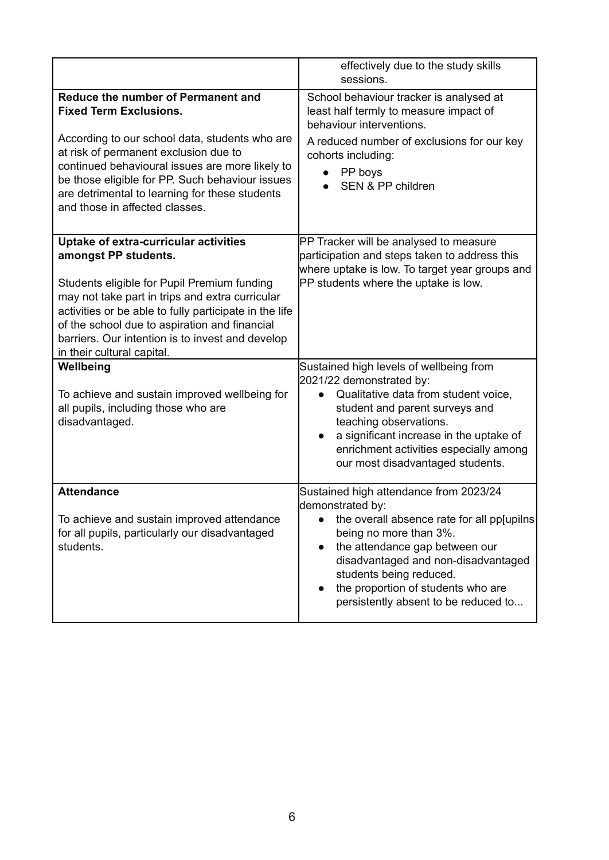|                                                                                                                                                                                                                                                                                                                                                              | effectively due to the study skills<br>sessions.                                                                                                                                                                                                                                                                      |
|--------------------------------------------------------------------------------------------------------------------------------------------------------------------------------------------------------------------------------------------------------------------------------------------------------------------------------------------------------------|-----------------------------------------------------------------------------------------------------------------------------------------------------------------------------------------------------------------------------------------------------------------------------------------------------------------------|
| Reduce the number of Permanent and<br><b>Fixed Term Exclusions.</b><br>According to our school data, students who are<br>at risk of permanent exclusion due to<br>continued behavioural issues are more likely to<br>be those eligible for PP. Such behaviour issues<br>are detrimental to learning for these students<br>and those in affected classes.     | School behaviour tracker is analysed at<br>least half termly to measure impact of<br>behaviour interventions.<br>A reduced number of exclusions for our key<br>cohorts including:<br>PP boys<br>$\bullet$<br>SEN & PP children                                                                                        |
| Uptake of extra-curricular activities<br>amongst PP students.<br>Students eligible for Pupil Premium funding<br>may not take part in trips and extra curricular<br>activities or be able to fully participate in the life<br>of the school due to aspiration and financial<br>barriers. Our intention is to invest and develop<br>in their cultural capital. | PP Tracker will be analysed to measure<br>participation and steps taken to address this<br>where uptake is low. To target year groups and<br>PP students where the uptake is low.                                                                                                                                     |
| Wellbeing<br>To achieve and sustain improved wellbeing for<br>all pupils, including those who are<br>disadvantaged.                                                                                                                                                                                                                                          | Sustained high levels of wellbeing from<br>2021/22 demonstrated by:<br>Qualitative data from student voice,<br>$\bullet$<br>student and parent surveys and<br>teaching observations.<br>a significant increase in the uptake of<br>enrichment activities especially among<br>our most disadvantaged students.         |
| <b>Attendance</b><br>To achieve and sustain improved attendance<br>for all pupils, particularly our disadvantaged<br>students.                                                                                                                                                                                                                               | Sustained high attendance from 2023/24<br>demonstrated by:<br>the overall absence rate for all pp[upilns]<br>being no more than 3%.<br>the attendance gap between our<br>disadvantaged and non-disadvantaged<br>students being reduced.<br>the proportion of students who are<br>persistently absent to be reduced to |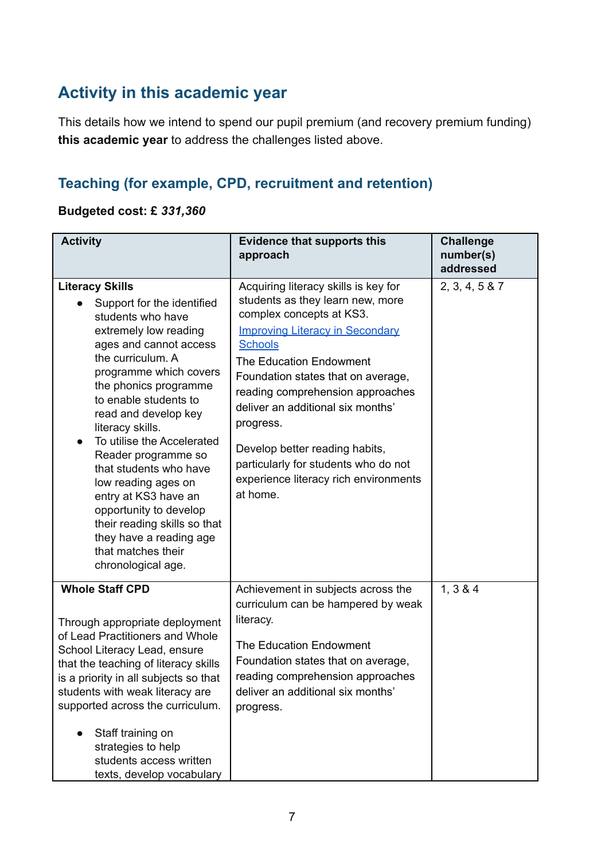# **Activity in this academic year**

This details how we intend to spend our pupil premium (and recovery premium funding) **this academic year** to address the challenges listed above.

## **Teaching (for example, CPD, recruitment and retention)**

### **Budgeted cost: £** *331,360*

| <b>Activity</b>                                                                                                                                                                                                                                                                                                                                                                                                                                                                                                                          | <b>Evidence that supports this</b><br>approach                                                                                                                                                                                                                                                                                                                                                                                                         | <b>Challenge</b><br>number(s)<br>addressed |
|------------------------------------------------------------------------------------------------------------------------------------------------------------------------------------------------------------------------------------------------------------------------------------------------------------------------------------------------------------------------------------------------------------------------------------------------------------------------------------------------------------------------------------------|--------------------------------------------------------------------------------------------------------------------------------------------------------------------------------------------------------------------------------------------------------------------------------------------------------------------------------------------------------------------------------------------------------------------------------------------------------|--------------------------------------------|
| <b>Literacy Skills</b><br>Support for the identified<br>students who have<br>extremely low reading<br>ages and cannot access<br>the curriculum. A<br>programme which covers<br>the phonics programme<br>to enable students to<br>read and develop key<br>literacy skills.<br>To utilise the Accelerated<br>Reader programme so<br>that students who have<br>low reading ages on<br>entry at KS3 have an<br>opportunity to develop<br>their reading skills so that<br>they have a reading age<br>that matches their<br>chronological age. | Acquiring literacy skills is key for<br>students as they learn new, more<br>complex concepts at KS3.<br><b>Improving Literacy in Secondary</b><br><b>Schools</b><br>The Education Endowment<br>Foundation states that on average,<br>reading comprehension approaches<br>deliver an additional six months'<br>progress.<br>Develop better reading habits,<br>particularly for students who do not<br>experience literacy rich environments<br>at home. | 2, 3, 4, 5 & 7                             |
| <b>Whole Staff CPD</b><br>Through appropriate deployment<br>of Lead Practitioners and Whole<br>School Literacy Lead, ensure<br>that the teaching of literacy skills<br>is a priority in all subjects so that<br>students with weak literacy are<br>supported across the curriculum.<br>Staff training on<br>strategies to help<br>students access written<br>texts, develop vocabulary                                                                                                                                                   | Achievement in subjects across the<br>curriculum can be hampered by weak<br>literacy.<br>The Education Endowment<br>Foundation states that on average,<br>reading comprehension approaches<br>deliver an additional six months'<br>progress.                                                                                                                                                                                                           | 1, 3 & 4                                   |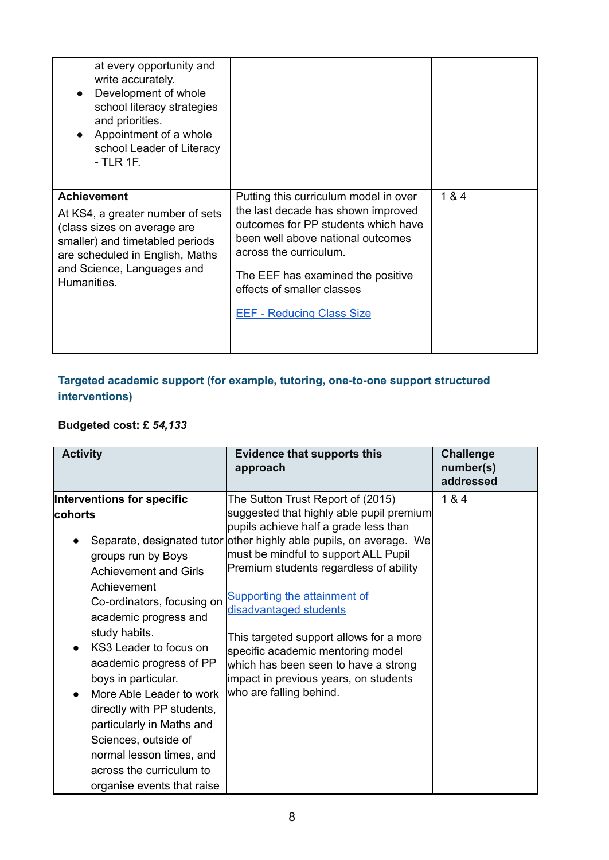| at every opportunity and<br>write accurately.<br>Development of whole<br>school literacy strategies<br>and priorities.<br>Appointment of a whole<br>school Leader of Literacy<br>- TLR 1F.               |                                                                                                                                                                                                                                                                                          |       |
|----------------------------------------------------------------------------------------------------------------------------------------------------------------------------------------------------------|------------------------------------------------------------------------------------------------------------------------------------------------------------------------------------------------------------------------------------------------------------------------------------------|-------|
| <b>Achievement</b><br>At KS4, a greater number of sets<br>(class sizes on average are<br>smaller) and timetabled periods<br>are scheduled in English, Maths<br>and Science, Languages and<br>Humanities. | Putting this curriculum model in over<br>the last decade has shown improved<br>outcomes for PP students which have<br>been well above national outcomes<br>across the curriculum.<br>The EEF has examined the positive<br>effects of smaller classes<br><b>EEF - Reducing Class Size</b> | 1 & 4 |

### **Targeted academic support (for example, tutoring, one-to-one support structured interventions)**

## **Budgeted cost: £** *54,133*

| <b>Activity</b>                                                                                                                                                                                                                                                                                                                                                                                                                                                     | <b>Evidence that supports this</b><br>approach                                                                                                                                                                                                                                                                                                                                                                                                                                                                                        | <b>Challenge</b><br>number(s)<br>addressed |
|---------------------------------------------------------------------------------------------------------------------------------------------------------------------------------------------------------------------------------------------------------------------------------------------------------------------------------------------------------------------------------------------------------------------------------------------------------------------|---------------------------------------------------------------------------------------------------------------------------------------------------------------------------------------------------------------------------------------------------------------------------------------------------------------------------------------------------------------------------------------------------------------------------------------------------------------------------------------------------------------------------------------|--------------------------------------------|
| Interventions for specific<br>cohorts<br>groups run by Boys<br><b>Achievement and Girls</b><br>Achievement<br>Co-ordinators, focusing on<br>academic progress and<br>study habits.<br>KS3 Leader to focus on<br>academic progress of PP<br>boys in particular.<br>More Able Leader to work<br>directly with PP students,<br>particularly in Maths and<br>Sciences, outside of<br>normal lesson times, and<br>across the curriculum to<br>organise events that raise | The Sutton Trust Report of (2015)<br>suggested that highly able pupil premium<br>pupils achieve half a grade less than<br>Separate, designated tutor other highly able pupils, on average. We<br>must be mindful to support ALL Pupil<br>Premium students regardless of ability<br>Supporting the attainment of<br>disadvantaged students<br>This targeted support allows for a more<br>specific academic mentoring model<br>which has been seen to have a strong<br>impact in previous years, on students<br>who are falling behind. | 1 & 4                                      |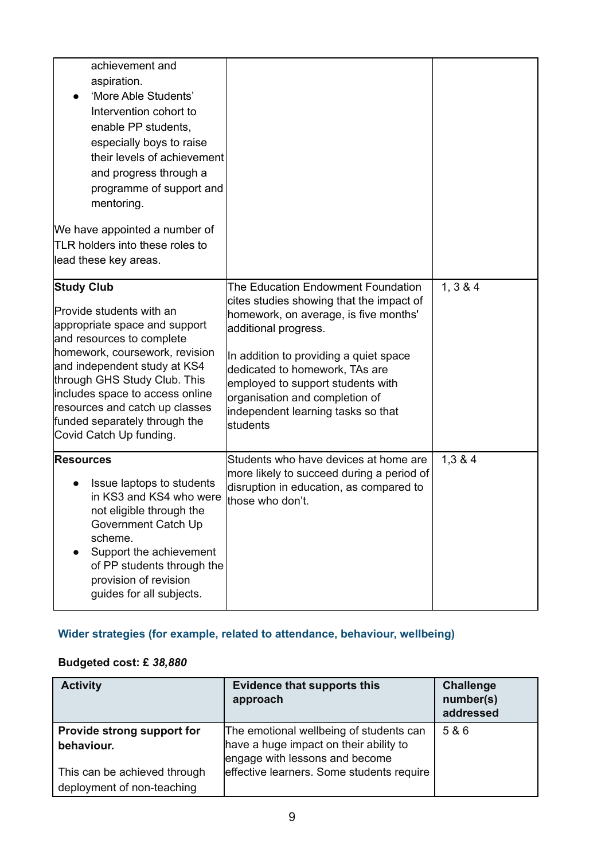| achievement and<br>aspiration.<br>'More Able Students'<br>Intervention cohort to<br>enable PP students,<br>especially boys to raise<br>their levels of achievement<br>and progress through a<br>programme of support and<br>mentoring.<br>We have appointed a number of<br>TLR holders into these roles to<br>lead these key areas.            |                                                                                                                                                                                                                                                                                                                                                      |          |
|------------------------------------------------------------------------------------------------------------------------------------------------------------------------------------------------------------------------------------------------------------------------------------------------------------------------------------------------|------------------------------------------------------------------------------------------------------------------------------------------------------------------------------------------------------------------------------------------------------------------------------------------------------------------------------------------------------|----------|
| <b>Study Club</b><br>Provide students with an<br>appropriate space and support<br>and resources to complete<br>homework, coursework, revision<br>and independent study at KS4<br>through GHS Study Club. This<br>includes space to access online<br>resources and catch up classes<br>funded separately through the<br>Covid Catch Up funding. | The Education Endowment Foundation<br>cites studies showing that the impact of<br>homework, on average, is five months'<br>additional progress.<br>In addition to providing a quiet space<br>dedicated to homework, TAs are<br>employed to support students with<br>organisation and completion of<br>independent learning tasks so that<br>students | 1, 3 & 4 |
| <b>Resources</b><br>Issue laptops to students<br>in KS3 and KS4 who were<br>not eligible through the<br>Government Catch Up<br>scheme.<br>Support the achievement<br>of PP students through the<br>provision of revision<br>guides for all subjects.                                                                                           | Students who have devices at home are<br>more likely to succeed during a period of<br>disruption in education, as compared to<br>those who don't.                                                                                                                                                                                                    | 1,384    |

## **Wider strategies (for example, related to attendance, behaviour, wellbeing)**

## **Budgeted cost: £** *38,880*

| <b>Activity</b>                                            | <b>Evidence that supports this</b><br>approach                                                                      | <b>Challenge</b><br>number(s)<br>addressed |
|------------------------------------------------------------|---------------------------------------------------------------------------------------------------------------------|--------------------------------------------|
| Provide strong support for<br>behaviour.                   | The emotional wellbeing of students can<br>have a huge impact on their ability to<br>engage with lessons and become | 5 & 6                                      |
| This can be achieved through<br>deployment of non-teaching | effective learners. Some students require                                                                           |                                            |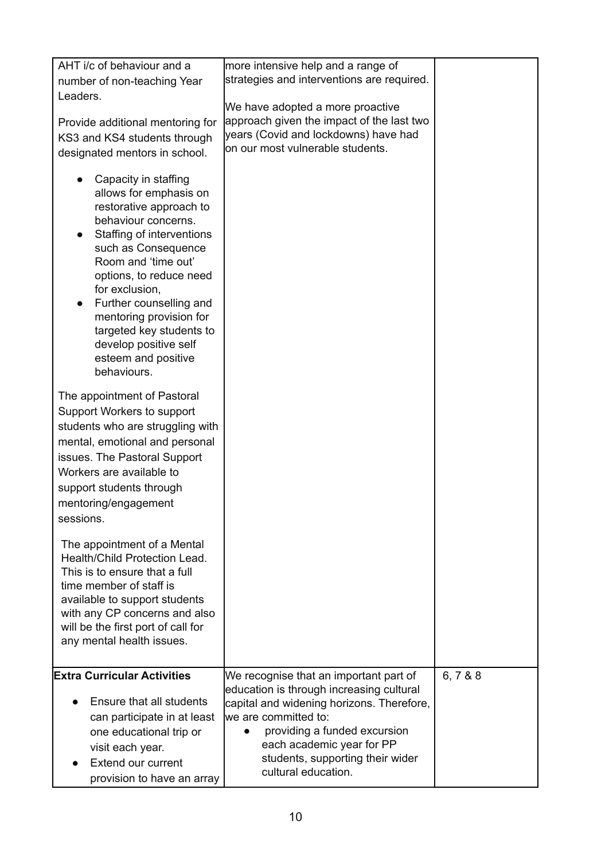| AHT i/c of behaviour and a<br>number of non-teaching Year<br>Leaders.<br>Provide additional mentoring for<br>KS3 and KS4 students through<br>designated mentors in school.                                                                                                                                                                                                | more intensive help and a range of<br>strategies and interventions are required.<br>We have adopted a more proactive<br>approach given the impact of the last two<br>years (Covid and lockdowns) have had<br>on our most vulnerable students.                                   |         |
|---------------------------------------------------------------------------------------------------------------------------------------------------------------------------------------------------------------------------------------------------------------------------------------------------------------------------------------------------------------------------|---------------------------------------------------------------------------------------------------------------------------------------------------------------------------------------------------------------------------------------------------------------------------------|---------|
| Capacity in staffing<br>allows for emphasis on<br>restorative approach to<br>behaviour concerns.<br>Staffing of interventions<br>such as Consequence<br>Room and 'time out'<br>options, to reduce need<br>for exclusion,<br>Further counselling and<br>mentoring provision for<br>targeted key students to<br>develop positive self<br>esteem and positive<br>behaviours. |                                                                                                                                                                                                                                                                                 |         |
| The appointment of Pastoral<br>Support Workers to support<br>students who are struggling with<br>mental, emotional and personal<br>issues. The Pastoral Support<br>Workers are available to<br>support students through<br>mentoring/engagement<br>sessions.                                                                                                              |                                                                                                                                                                                                                                                                                 |         |
| The appointment of a Mental<br>Health/Child Protection Lead.<br>This is to ensure that a full<br>time member of staff is<br>available to support students<br>with any CP concerns and also<br>will be the first port of call for<br>any mental health issues.                                                                                                             |                                                                                                                                                                                                                                                                                 |         |
| <b>Extra Curricular Activities</b><br>Ensure that all students<br>can participate in at least<br>one educational trip or<br>visit each year.<br><b>Extend our current</b><br>provision to have an array                                                                                                                                                                   | We recognise that an important part of<br>education is through increasing cultural<br>capital and widening horizons. Therefore,<br>we are committed to:<br>providing a funded excursion<br>each academic year for PP<br>students, supporting their wider<br>cultural education. | 6,7 & 8 |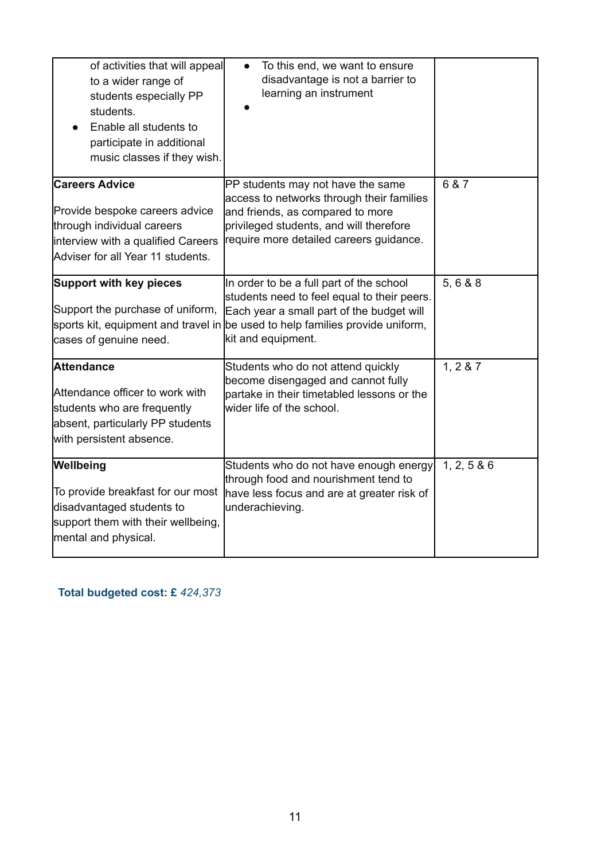| of activities that will appeal<br>to a wider range of<br>students especially PP<br>students.<br>Enable all students to<br>participate in additional<br>music classes if they wish. | To this end, we want to ensure<br>disadvantage is not a barrier to<br>learning an instrument                                                                                                             |           |
|------------------------------------------------------------------------------------------------------------------------------------------------------------------------------------|----------------------------------------------------------------------------------------------------------------------------------------------------------------------------------------------------------|-----------|
| <b>Careers Advice</b><br>Provide bespoke careers advice<br>through individual careers<br>interview with a qualified Careers<br>Adviser for all Year 11 students.                   | PP students may not have the same<br>access to networks through their families<br>and friends, as compared to more<br>privileged students, and will therefore<br>require more detailed careers guidance. | 6 & 7     |
| <b>Support with key pieces</b><br>Support the purchase of uniform,<br>sports kit, equipment and travel in<br>cases of genuine need.                                                | In order to be a full part of the school<br>students need to feel equal to their peers.<br>Each year a small part of the budget will<br>be used to help families provide uniform,<br>kit and equipment.  | 5, 6 & 8  |
| <b>Attendance</b><br>Attendance officer to work with<br>students who are frequently<br>absent, particularly PP students<br>with persistent absence.                                | Students who do not attend quickly<br>become disengaged and cannot fully<br>partake in their timetabled lessons or the<br>wider life of the school.                                                      | 1, 2 & 87 |
| Wellbeing<br>To provide breakfast for our most<br>disadvantaged students to<br>support them with their wellbeing,<br>mental and physical.                                          | Students who do not have enough energy<br>through food and nourishment tend to<br>have less focus and are at greater risk of<br>underachieving.                                                          | 1, 2, 586 |

## **Total budgeted cost: £** *424,373*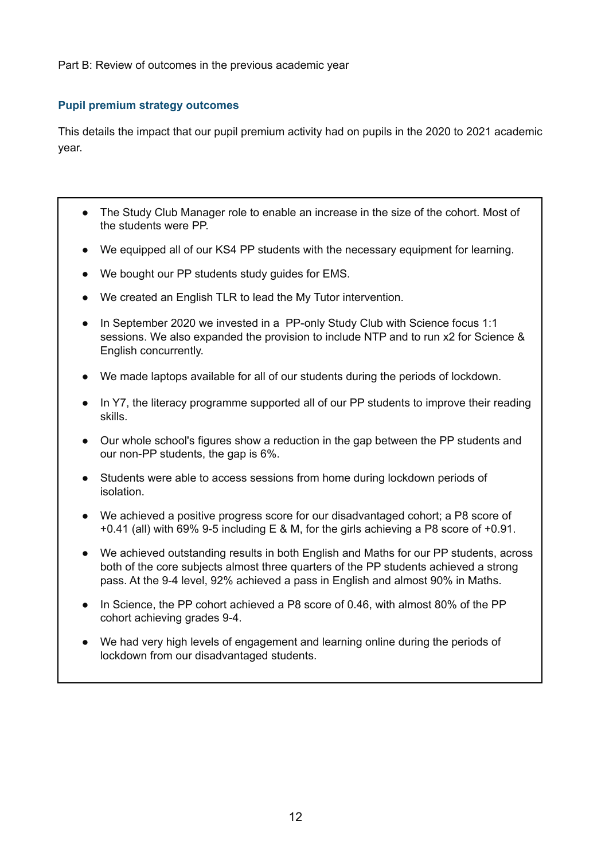Part B: Review of outcomes in the previous academic year

#### **Pupil premium strategy outcomes**

This details the impact that our pupil premium activity had on pupils in the 2020 to 2021 academic year.

- The Study Club Manager role to enable an increase in the size of the cohort. Most of the students were PP.
- We equipped all of our KS4 PP students with the necessary equipment for learning.
- We bought our PP students study guides for EMS.
- We created an English TLR to lead the My Tutor intervention.
- In September 2020 we invested in a PP-only Study Club with Science focus 1:1 sessions. We also expanded the provision to include NTP and to run x2 for Science & English concurrently.
- We made laptops available for all of our students during the periods of lockdown.
- In Y7, the literacy programme supported all of our PP students to improve their reading skills.
- Our whole school's figures show a reduction in the gap between the PP students and our non-PP students, the gap is 6%.
- Students were able to access sessions from home during lockdown periods of isolation.
- We achieved a positive progress score for our disadvantaged cohort; a P8 score of +0.41 (all) with 69% 9-5 including E & M, for the girls achieving a P8 score of +0.91.
- We achieved outstanding results in both English and Maths for our PP students, across both of the core subjects almost three quarters of the PP students achieved a strong pass. At the 9-4 level, 92% achieved a pass in English and almost 90% in Maths.
- In Science, the PP cohort achieved a P8 score of 0.46, with almost 80% of the PP cohort achieving grades 9-4.
- We had very high levels of engagement and learning online during the periods of lockdown from our disadvantaged students.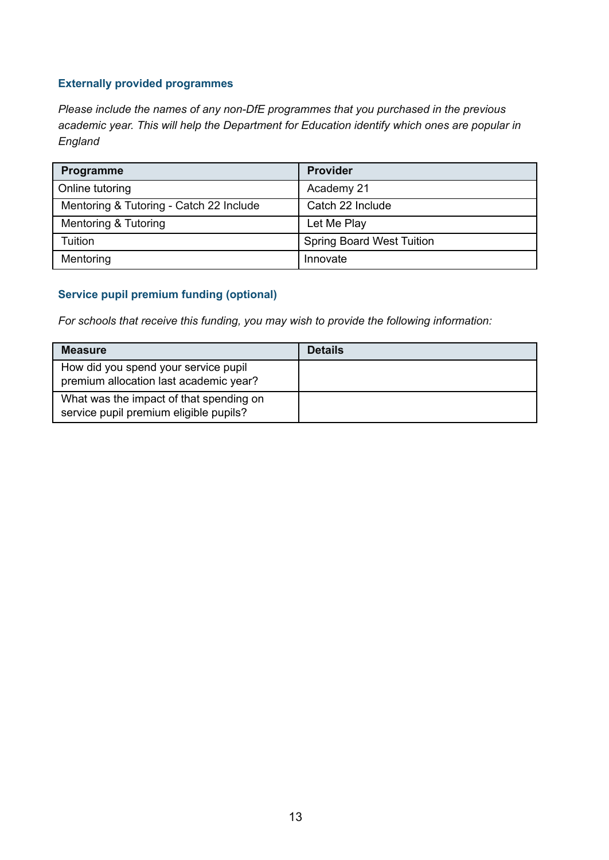#### **Externally provided programmes**

*Please include the names of any non-DfE programmes that you purchased in the previous academic year. This will help the Department for Education identify which ones are popular in England*

| <b>Programme</b>                        | <b>Provider</b>                  |
|-----------------------------------------|----------------------------------|
| Online tutoring                         | Academy 21                       |
| Mentoring & Tutoring - Catch 22 Include | Catch 22 Include                 |
| Mentoring & Tutoring                    | Let Me Play                      |
| Tuition                                 | <b>Spring Board West Tuition</b> |
| Mentoring                               | Innovate                         |

#### **Service pupil premium funding (optional)**

*For schools that receive this funding, you may wish to provide the following information:*

| <b>Measure</b>                                                                    | <b>Details</b> |
|-----------------------------------------------------------------------------------|----------------|
| How did you spend your service pupil<br>premium allocation last academic year?    |                |
| What was the impact of that spending on<br>service pupil premium eligible pupils? |                |